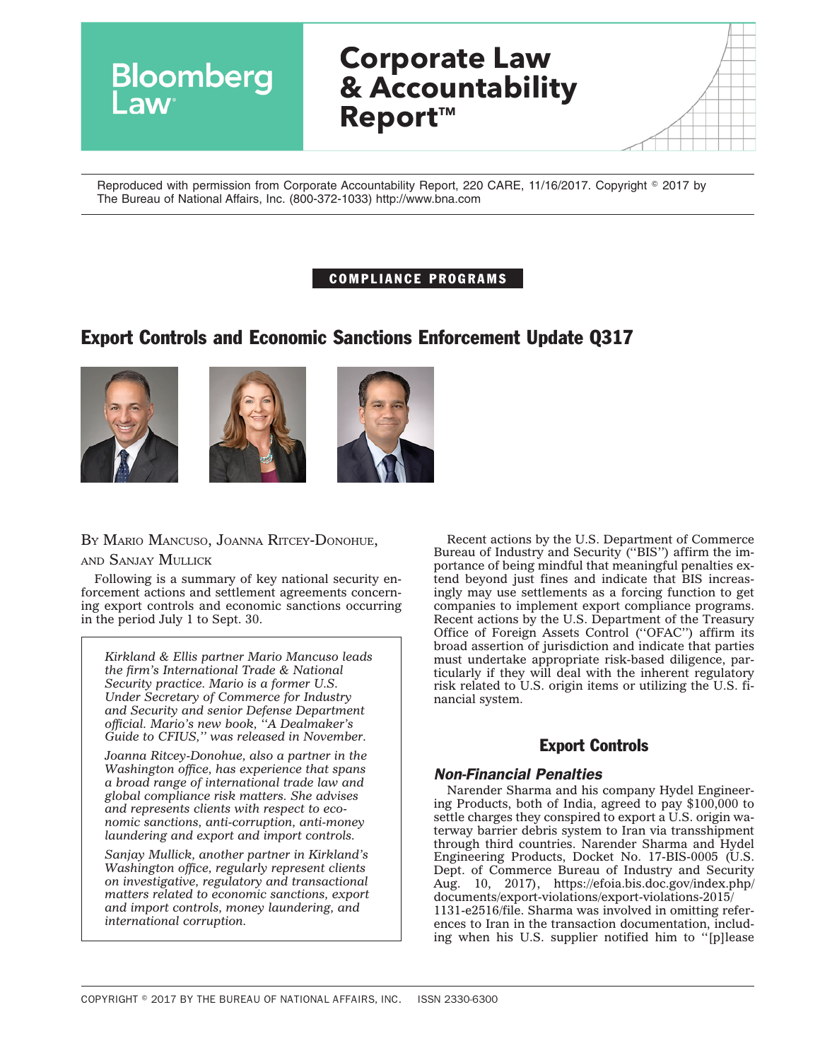| pomberg | <b>Corporate Law</b><br>& Accountability<br><b>Report™</b> |  |
|---------|------------------------------------------------------------|--|
|         |                                                            |  |

Reproduced with permission from Corporate Accountability Report, 220 CARE, 11/16/2017. Copyright © 2017 by The Bureau of National Affairs, Inc. (800-372-1033) http://www.bna.com

## COMPLIANCE PROGRAMS

# Export Controls and Economic Sanctions Enforcement Update Q317







## BY MARIO MANCUSO, JOANNA RITCEY-DONOHUE,

AND SANJAY MULLICK

Following is a summary of key national security enforcement actions and settlement agreements concerning export controls and economic sanctions occurring in the period July 1 to Sept. 30.

*Kirkland & Ellis partner Mario Mancuso leads the firm's International Trade & National Security practice. Mario is a former U.S. Under Secretary of Commerce for Industry and Security and senior Defense Department official. Mario's new book, ''A Dealmaker's Guide to CFIUS,'' was released in November.*

*Joanna Ritcey-Donohue, also a partner in the Washington office, has experience that spans a broad range of international trade law and global compliance risk matters. She advises and represents clients with respect to economic sanctions, anti-corruption, anti-money laundering and export and import controls.*

*Sanjay Mullick, another partner in Kirkland's Washington office, regularly represent clients on investigative, regulatory and transactional matters related to economic sanctions, export and import controls, money laundering, and international corruption.*

Recent actions by the U.S. Department of Commerce Bureau of Industry and Security (''BIS'') affirm the importance of being mindful that meaningful penalties extend beyond just fines and indicate that BIS increasingly may use settlements as a forcing function to get companies to implement export compliance programs. Recent actions by the U.S. Department of the Treasury Office of Foreign Assets Control (''OFAC'') affirm its broad assertion of jurisdiction and indicate that parties must undertake appropriate risk-based diligence, particularly if they will deal with the inherent regulatory risk related to U.S. origin items or utilizing the U.S. financial system.

## Export Controls

## *Non-Financial Penalties*

Narender Sharma and his company Hydel Engineering Products, both of India, agreed to pay \$100,000 to settle charges they conspired to export a U.S. origin waterway barrier debris system to Iran via transshipment through third countries. Narender Sharma and Hydel Engineering Products, Docket No. 17-BIS-0005 (U.S. Dept. of Commerce Bureau of Industry and Security Aug. 10, 2017), [https://efoia.bis.doc.gov/index.php/](https://efoia.bis.doc.gov/index.php/documents/export-violations/export-violations-2015/1131-e2516/file) [documents/export-violations/export-violations-2015/](https://efoia.bis.doc.gov/index.php/documents/export-violations/export-violations-2015/1131-e2516/file) [1131-e2516/file.](https://efoia.bis.doc.gov/index.php/documents/export-violations/export-violations-2015/1131-e2516/file) Sharma was involved in omitting references to Iran in the transaction documentation, including when his U.S. supplier notified him to ''[p]lease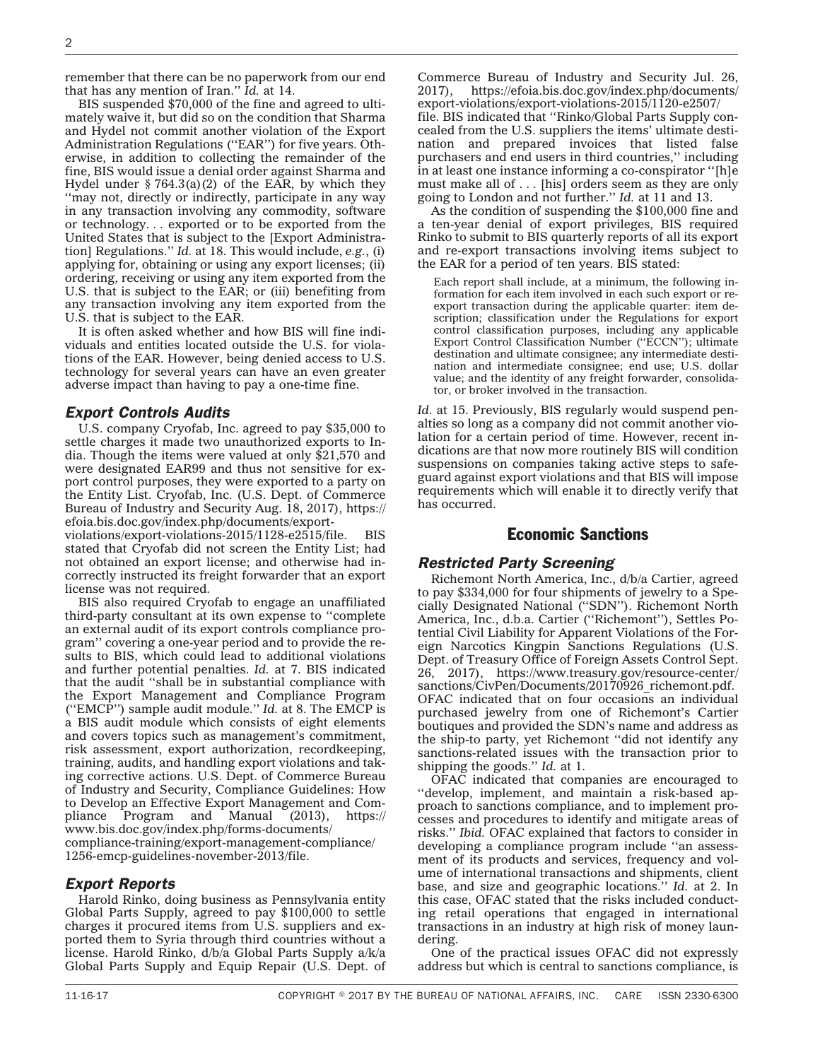remember that there can be no paperwork from our end that has any mention of Iran.'' *Id.* at 14.

BIS suspended \$70,000 of the fine and agreed to ultimately waive it, but did so on the condition that Sharma and Hydel not commit another violation of the Export Administration Regulations ("EAR") for five years. Otherwise, in addition to collecting the remainder of the fine, BIS would issue a denial order against Sharma and Hydel under  $\S 764.3(a)(2)$  of the EAR, by which they ''may not, directly or indirectly, participate in any way in any transaction involving any commodity, software or technology. . . exported or to be exported from the United States that is subject to the [Export Administration] Regulations.'' *Id.* at 18. This would include, *e.g.*, (i) applying for, obtaining or using any export licenses; (ii) ordering, receiving or using any item exported from the U.S. that is subject to the EAR; or (iii) benefiting from any transaction involving any item exported from the U.S. that is subject to the EAR.

It is often asked whether and how BIS will fine individuals and entities located outside the U.S. for violations of the EAR. However, being denied access to U.S. technology for several years can have an even greater adverse impact than having to pay a one-time fine.

#### *Export Controls Audits*

U.S. company Cryofab, Inc. agreed to pay \$35,000 to settle charges it made two unauthorized exports to India. Though the items were valued at only \$21,570 and were designated EAR99 and thus not sensitive for export control purposes, they were exported to a party on the Entity List. Cryofab, Inc. (U.S. Dept. of Commerce Bureau of Industry and Security Aug. 18, 2017), [https://](https://efoia.bis.doc.gov/index.php/documents/export-violations/export-violations-2015/1128-e2515/file) [efoia.bis.doc.gov/index.php/documents/export-](https://efoia.bis.doc.gov/index.php/documents/export-violations/export-violations-2015/1128-e2515/file)

[violations/export-violations-2015/1128-e2515/file.](https://efoia.bis.doc.gov/index.php/documents/export-violations/export-violations-2015/1128-e2515/file) stated that Cryofab did not screen the Entity List; had not obtained an export license; and otherwise had incorrectly instructed its freight forwarder that an export license was not required.

BIS also required Cryofab to engage an unaffiliated third-party consultant at its own expense to ''complete an external audit of its export controls compliance program'' covering a one-year period and to provide the results to BIS, which could lead to additional violations and further potential penalties. *Id.* at 7. BIS indicated that the audit ''shall be in substantial compliance with the Export Management and Compliance Program (''EMCP'') sample audit module.'' *Id.* at 8. The EMCP is a BIS audit module which consists of eight elements and covers topics such as management's commitment, risk assessment, export authorization, recordkeeping, training, audits, and handling export violations and taking corrective actions. U.S. Dept. of Commerce Bureau of Industry and Security, Compliance Guidelines: How to Develop an Effective Export Management and Compliance Program and Manual (2013), [https://](https://www.bis.doc.gov/index.php/forms-documents/compliance-training/export-management-compliance/1256-emcp-guidelines-november-2013/file) [www.bis.doc.gov/index.php/forms-documents/](https://www.bis.doc.gov/index.php/forms-documents/compliance-training/export-management-compliance/1256-emcp-guidelines-november-2013/file) [compliance-training/export-management-compliance/](https://www.bis.doc.gov/index.php/forms-documents/compliance-training/export-management-compliance/1256-emcp-guidelines-november-2013/file) [1256-emcp-guidelines-november-2013/file.](https://www.bis.doc.gov/index.php/forms-documents/compliance-training/export-management-compliance/1256-emcp-guidelines-november-2013/file)

## *Export Reports*

Harold Rinko, doing business as Pennsylvania entity Global Parts Supply, agreed to pay \$100,000 to settle charges it procured items from U.S. suppliers and exported them to Syria through third countries without a license. Harold Rinko, d/b/a Global Parts Supply a/k/a Global Parts Supply and Equip Repair (U.S. Dept. of Commerce Bureau of Industry and Security Jul. 26, 2017), [https://efoia.bis.doc.gov/index.php/documents/](https://efoia.bis.doc.gov/index.php/documents/export-violations/export-violations-2015/1120-e2507/file) [export-violations/export-violations-2015/1120-e2507/](https://efoia.bis.doc.gov/index.php/documents/export-violations/export-violations-2015/1120-e2507/file) [file.](https://efoia.bis.doc.gov/index.php/documents/export-violations/export-violations-2015/1120-e2507/file) BIS indicated that ''Rinko/Global Parts Supply concealed from the U.S. suppliers the items' ultimate destination and prepared invoices that listed false purchasers and end users in third countries,'' including in at least one instance informing a co-conspirator ''[h]e must make all of . . . [his] orders seem as they are only going to London and not further.'' *Id.* at 11 and 13.

As the condition of suspending the \$100,000 fine and a ten-year denial of export privileges, BIS required Rinko to submit to BIS quarterly reports of all its export and re-export transactions involving items subject to the EAR for a period of ten years. BIS stated:

Each report shall include, at a minimum, the following information for each item involved in each such export or reexport transaction during the applicable quarter: item description; classification under the Regulations for export control classification purposes, including any applicable Export Control Classification Number (''ECCN''); ultimate destination and ultimate consignee; any intermediate destination and intermediate consignee; end use; U.S. dollar value; and the identity of any freight forwarder, consolidator, or broker involved in the transaction.

*Id.* at 15. Previously, BIS regularly would suspend penalties so long as a company did not commit another violation for a certain period of time. However, recent indications are that now more routinely BIS will condition suspensions on companies taking active steps to safeguard against export violations and that BIS will impose requirements which will enable it to directly verify that has occurred.

#### Economic Sanctions

#### *Restricted Party Screening*

Richemont North America, Inc., d/b/a Cartier, agreed to pay \$334,000 for four shipments of jewelry to a Specially Designated National (''SDN''). Richemont North America, Inc., d.b.a. Cartier (''Richemont''), Settles Potential Civil Liability for Apparent Violations of the Foreign Narcotics Kingpin Sanctions Regulations (U.S. Dept. of Treasury Office of Foreign Assets Control Sept. 26, 2017), [https://www.treasury.gov/resource-center/](https://www.treasury.gov/resource-center/sanctions/CivPen/Documents/20170926_richemont.pdf) sanctions/CivPen/Documents/20170926 richemont.pdf. OFAC indicated that on four occasions an individual purchased jewelry from one of Richemont's Cartier boutiques and provided the SDN's name and address as the ship-to party, yet Richemont ''did not identify any sanctions-related issues with the transaction prior to shipping the goods.'' *Id.* at 1.

OFAC indicated that companies are encouraged to ''develop, implement, and maintain a risk-based approach to sanctions compliance, and to implement processes and procedures to identify and mitigate areas of risks.'' *Ibid.* OFAC explained that factors to consider in developing a compliance program include ''an assessment of its products and services, frequency and volume of international transactions and shipments, client base, and size and geographic locations.'' *Id.* at 2. In this case, OFAC stated that the risks included conducting retail operations that engaged in international transactions in an industry at high risk of money laundering.

One of the practical issues OFAC did not expressly address but which is central to sanctions compliance, is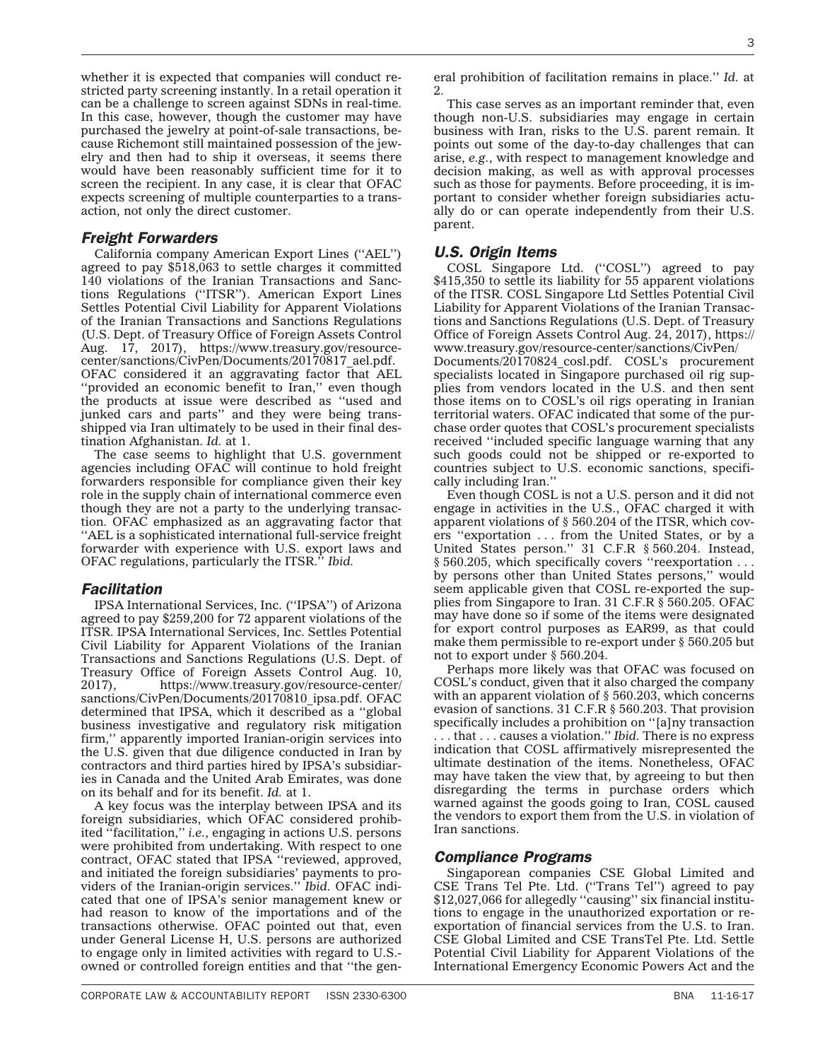whether it is expected that companies will conduct restricted party screening instantly. In a retail operation it can be a challenge to screen against SDNs in real-time. In this case, however, though the customer may have purchased the jewelry at point-of-sale transactions, because Richemont still maintained possession of the jewelry and then had to ship it overseas, it seems there would have been reasonably sufficient time for it to screen the recipient. In any case, it is clear that OFAC expects screening of multiple counterparties to a transaction, not only the direct customer.

## *Freight Forwarders*

California company American Export Lines (''AEL'') agreed to pay \$518,063 to settle charges it committed 140 violations of the Iranian Transactions and Sanctions Regulations (''ITSR''). American Export Lines Settles Potential Civil Liability for Apparent Violations of the Iranian Transactions and Sanctions Regulations (U.S. Dept. of Treasury Office of Foreign Assets Control Aug. 17, 2017), [https://www.treasury.gov/resource](https://www.treasury.gov/resource-center/sanctions/CivPen/Documents/20170817_ael.pdf)[center/sanctions/CivPen/Documents/20170817\\_ael.pdf.](https://www.treasury.gov/resource-center/sanctions/CivPen/Documents/20170817_ael.pdf) OFAC considered it an aggravating factor that AEL "provided an economic benefit to Iran," even though the products at issue were described as ''used and junked cars and parts'' and they were being transshipped via Iran ultimately to be used in their final destination Afghanistan. *Id.* at 1.

The case seems to highlight that U.S. government agencies including OFAC will continue to hold freight forwarders responsible for compliance given their key role in the supply chain of international commerce even though they are not a party to the underlying transaction. OFAC emphasized as an aggravating factor that ''AEL is a sophisticated international full-service freight forwarder with experience with U.S. export laws and OFAC regulations, particularly the ITSR.'' *Ibid.*

## *Facilitation*

IPSA International Services, Inc. (''IPSA'') of Arizona agreed to pay \$259,200 for 72 apparent violations of the ITSR. IPSA International Services, Inc. Settles Potential Civil Liability for Apparent Violations of the Iranian Transactions and Sanctions Regulations (U.S. Dept. of Treasury Office of Foreign Assets Control Aug. 10, 2017), [https://www.treasury.gov/resource-center/](https://www.treasury.gov/resource-center/sanctions/CivPen/Documents/20170810_ipsa.pdf) [sanctions/CivPen/Documents/20170810\\_ipsa.pdf.](https://www.treasury.gov/resource-center/sanctions/CivPen/Documents/20170810_ipsa.pdf) OFAC determined that IPSA, which it described as a ''global business investigative and regulatory risk mitigation firm,'' apparently imported Iranian-origin services into the U.S. given that due diligence conducted in Iran by contractors and third parties hired by IPSA's subsidiaries in Canada and the United Arab Emirates, was done on its behalf and for its benefit. *Id.* at 1.

A key focus was the interplay between IPSA and its foreign subsidiaries, which OFAC considered prohibited ''facilitation,'' *i.e.*, engaging in actions U.S. persons were prohibited from undertaking. With respect to one contract, OFAC stated that IPSA ''reviewed, approved, and initiated the foreign subsidiaries' payments to providers of the Iranian-origin services.'' *Ibid.* OFAC indicated that one of IPSA's senior management knew or had reason to know of the importations and of the transactions otherwise. OFAC pointed out that, even under General License H, U.S. persons are authorized to engage only in limited activities with regard to U.S. owned or controlled foreign entities and that ''the gen3

eral prohibition of facilitation remains in place.'' *Id.* at 2.

This case serves as an important reminder that, even though non-U.S. subsidiaries may engage in certain business with Iran, risks to the U.S. parent remain. It points out some of the day-to-day challenges that can arise, *e.g.*, with respect to management knowledge and decision making, as well as with approval processes such as those for payments. Before proceeding, it is important to consider whether foreign subsidiaries actually do or can operate independently from their U.S. parent.

## *U.S. Origin Items*

COSL Singapore Ltd. (''COSL'') agreed to pay \$415,350 to settle its liability for 55 apparent violations of the ITSR. COSL Singapore Ltd Settles Potential Civil Liability for Apparent Violations of the Iranian Transactions and Sanctions Regulations (U.S. Dept. of Treasury Office of Foreign Assets Control Aug. 24, 2017), [https://](https://www.treasury.gov/resource-center/sanctions/CivPen/Documents/20170824_cosl.pdf) [www.treasury.gov/resource-center/sanctions/CivPen/](https://www.treasury.gov/resource-center/sanctions/CivPen/Documents/20170824_cosl.pdf) [Documents/20170824\\_cosl.pdf.](https://www.treasury.gov/resource-center/sanctions/CivPen/Documents/20170824_cosl.pdf) COSL's procurement specialists located in Singapore purchased oil rig supplies from vendors located in the U.S. and then sent those items on to COSL's oil rigs operating in Iranian territorial waters. OFAC indicated that some of the purchase order quotes that COSL's procurement specialists received ''included specific language warning that any such goods could not be shipped or re-exported to countries subject to U.S. economic sanctions, specifically including Iran.''

Even though COSL is not a U.S. person and it did not engage in activities in the U.S., OFAC charged it with apparent violations of § 560.204 of the ITSR, which covers ''exportation . . . from the United States, or by a United States person.'' 31 C.F.R § 560.204. Instead, § 560.205, which specifically covers "reexportation . . by persons other than United States persons,'' would seem applicable given that COSL re-exported the supplies from Singapore to Iran. 31 C.F.R § 560.205. OFAC may have done so if some of the items were designated for export control purposes as EAR99, as that could make them permissible to re-export under § 560.205 but not to export under § 560.204.

Perhaps more likely was that OFAC was focused on COSL's conduct, given that it also charged the company with an apparent violation of § 560.203, which concerns evasion of sanctions. 31 C.F.R § 560.203. That provision specifically includes a prohibition on "[a]ny transaction . . . that . . . causes a violation.'' *Ibid.* There is no express indication that COSL affirmatively misrepresented the ultimate destination of the items. Nonetheless, OFAC may have taken the view that, by agreeing to but then disregarding the terms in purchase orders which warned against the goods going to Iran, COSL caused the vendors to export them from the U.S. in violation of Iran sanctions.

## *Compliance Programs*

Singaporean companies CSE Global Limited and CSE Trans Tel Pte. Ltd. (''Trans Tel'') agreed to pay \$12,027,066 for allegedly ''causing'' six financial institutions to engage in the unauthorized exportation or reexportation of financial services from the U.S. to Iran. CSE Global Limited and CSE TransTel Pte. Ltd. Settle Potential Civil Liability for Apparent Violations of the International Emergency Economic Powers Act and the